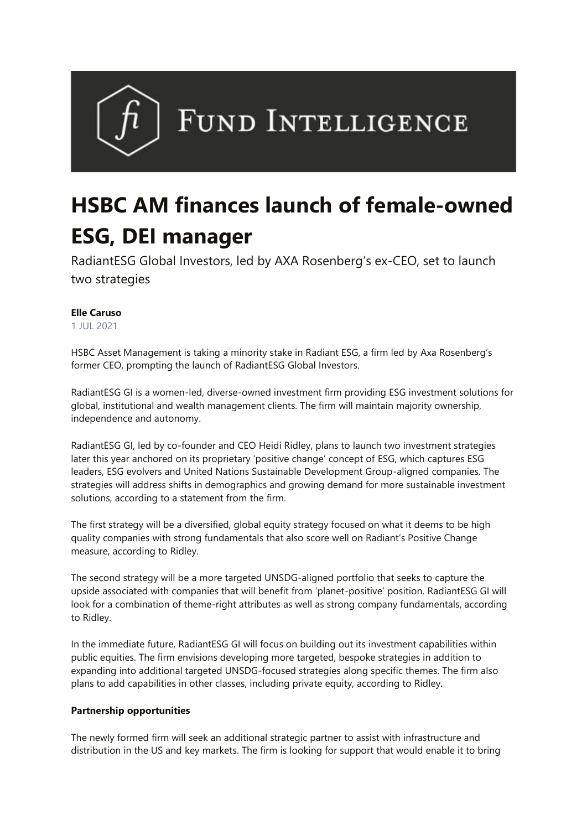

## **HSBC AM finances launch of female-owned ESG, DEI manager**

RadiantESG Global Investors, led by AXA Rosenberg's ex-CEO, set to launch two strategies

## **Elle Caruso**

1 JUL 2021

HSBC Asset Management is taking a minority stake in Radiant ESG, a firm led by Axa Rosenberg's former CEO, prompting the launch of RadiantESG Global Investors.

RadiantESG GI is a women-led, diverse-owned investment firm providing ESG investment solutions for global, institutional and wealth management clients. The firm will maintain majority ownership, independence and autonomy.

RadiantESG GI, led by co-founder and CEO Heidi Ridley, plans to launch two investment strategies later this year anchored on its proprietary 'positive change' concept of ESG, which captures ESG leaders, ESG evolvers and United Nations Sustainable Development Group-aligned companies. The strategies will address shifts in demographics and growing demand for more sustainable investment solutions, according to a statement from the firm.

The first strategy will be a diversified, global equity strategy focused on what it deems to be high quality companies with strong fundamentals that also score well on Radiant's Positive Change measure, according to Ridley.

The second strategy will be a more targeted UNSDG-aligned portfolio that seeks to capture the upside associated with companies that will benefit from 'planet-positive' position. RadiantESG GI will look for a combination of theme-right attributes as well as strong company fundamentals, according to Ridley.

In the immediate future, RadiantESG GI will focus on building out its investment capabilities within public equities. The firm envisions developing more targeted, bespoke strategies in addition to expanding into additional targeted UNSDG-focused strategies along specific themes. The firm also plans to add capabilities in other classes, including private equity, according to Ridley.

## **Partnership opportunities**

The newly formed firm will seek an additional strategic partner to assist with infrastructure and distribution in the US and key markets. The firm is looking for support that would enable it to bring